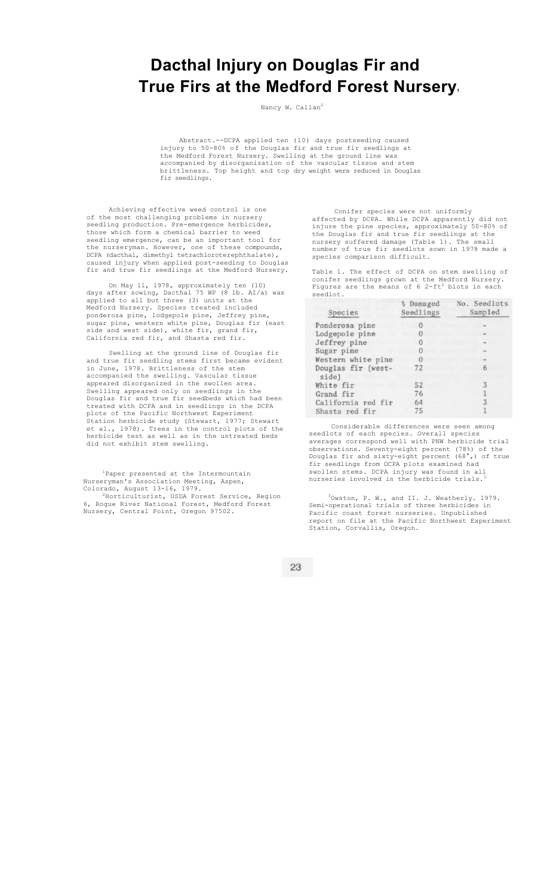## **Dacthal Injury on Douglas Fir and True Firs at the Medford Forest Nursery1**

Nancy W. Callan<sup>2</sup>

Abstract.--DCPA applied ten (10) days postseeding caused injury to 50-80% of the Douglas fir and true fir seedlings at the Medford Forest Nursery. Swelling at the ground line was accompanied by disorganization of the vascular tissue and stem brittleness. Top height and top dry weight were reduced in Douglas fir seedlings.

Achieving effective weed control is one of the most challenging problems in nursery seedling production. Pre-emergence herbicides, those which form a chemical barrier to weed seedling emergence, can be an important tool for the nurseryman. However, one of these compounds, DCPA (dacthal, dimethyl tetrachloroterephthalate), caused injury when applied post-seeding to Douglas fir and true fir seedlings at the Medford Nursery.

On May 11, 1978, approximately ten (10)<br>days after sowing, Dacthal 75 WP (8 lb. AI/a) was days after sowing, Dacthal 75 WP (8 lb. AI/a) was applied to all but three (3) units at the Medford Nursery. Species treated included ponderosa pine, lodgepole pine, Jeffrey pine, sugar pine, western white pine, Douglas fir (east side and west side), white fir, grand fir, California red fir, and Shasta red fir.

Swelling at the ground line of Douglas fir and true fir seedling stems first became evident in June, 1978. Brittleness of the stem<br>accompanied the swelling. Vascular tissue accompanied the swelling. Vascular tissue appeared disorganized in the swollen area. Swelling appeared only on seedlings in the Douglas fir and true fir seedbeds which had been treated with DCPA and in seedlings in the DCPA plots of the Pacific Northwest Experiment Station herbicide study (Stewart, 1977; Stewart et al., 1978). Trees in the control plots of the herbicide test as well as in the untreated beds did not exhibit stem swelling.

<sup>1</sup>Paper presented at the Intermountain Nurseryman's Association Meeting, Aspen, Colorado, August 13-16, 1979.<br><sup>2</sup>Horticulturist, USDA Forest Service, Region

6, Rogue River National Forest, Medford Forest Nursery, Central Point, Oregon 97502.

Conifer species were not uniformly affected by DCPA. While DCPA apparently did not injure the pine species, approximately 50-80% of the Douglas fir and true fir seedlings at the nursery suffered damage (Table 1). The small number of true fir seedlots sown in 1978 made a species comparison difficult.

Table 1. The effect of DCPA on stem swelling of conifer seedlings grown at the Medford Nursery.<br>Figures are the means of 6 2-ft<sup>2</sup> blots in each seedlot.

| Species                     | % Damaged<br>Seedlings | No. Seedlots<br>Sampled |
|-----------------------------|------------------------|-------------------------|
| Ponderosa pine              |                        |                         |
| Lodgepole pine              | $\cup$                 |                         |
| Jeffrey pine                | O                      |                         |
| Sugar pine                  |                        |                         |
| Western white pine          |                        |                         |
| Douglas fir (west-<br>side) | 72                     |                         |
| White fir                   | 52                     | 3                       |
| Grand fir                   | 76                     |                         |
| California red fir          | 64                     |                         |
| Shasta red fir              | 75                     |                         |

Considerable differences were seen among seedlots of each species. Overall species averages correspond well with PNW herbicide trial observations. Seventy-eight percent (78%) of the Douglas fir and sixty-eight percent (68°,) of true fir seedlings from DCPA plots examined had swollen stems. DCPA injury was found in all nurseries involved in the herbicide trials.

3Owston, P. W., and II. J. Weatherly. 1979. Semi-operational trials of three herbicides in Pacific coast forest nurseries. Unpublished report on file at the Pacific Northwest Experiment Station, Corvallis, Oregon.

23